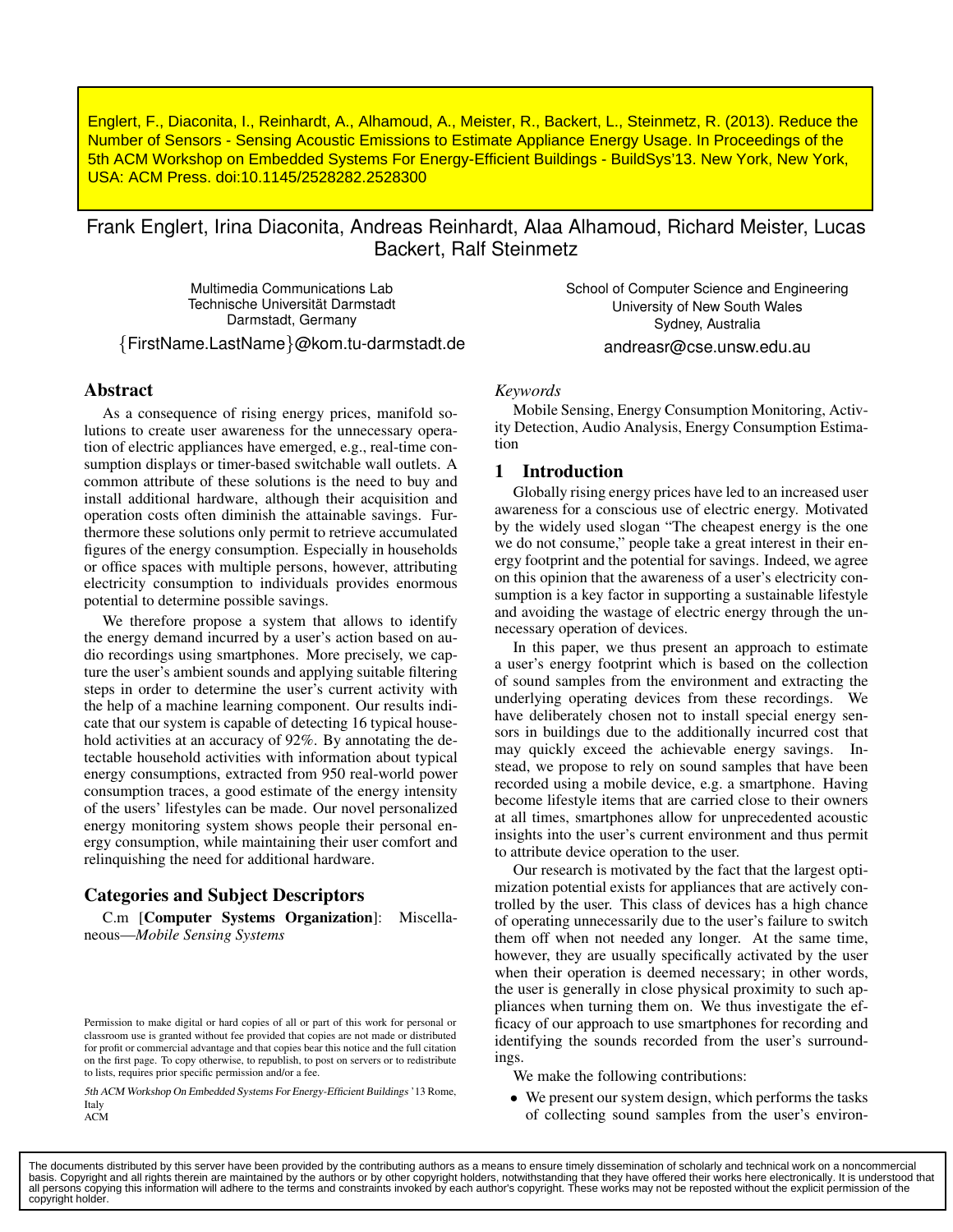**Reduce the Number of Sensors: Sensing Acoustic Emissions to** 5th ACM Workshop on Embedded Systems For Energy-Efficient Buildings - BuildSys'13. New York, New York, **Estimate Appliance Energy Usage** USA: ACM Press. doi:10.1145/2528282.2528300 Englert, F., Diaconita, I., Reinhardt, A., Alhamoud, A., Meister, R., Backert, L., Steinmetz, R. (2013). Reduce the Number of Sensors - Sensing Acoustic Emissions to Estimate Appliance Energy Usage. In Proceedings of the

# Frank Englert, Irina Diaconita, Andreas Reinhardt, Alaa Alhamoud, Richard Meister, Lucas Backert, Ralf Steinmetz

Multimedia Communications Lab Technische Universität Darmstadt Darmstadt, Germany

{FirstName.LastName}@kom.tu-darmstadt.de

Abstract

As a consequence of rising energy prices, manifold solutions to create user awareness for the unnecessary operation of electric appliances have emerged, e.g., real-time consumption displays or timer-based switchable wall outlets. A common attribute of these solutions is the need to buy and install additional hardware, although their acquisition and operation costs often diminish the attainable savings. Furthermore these solutions only permit to retrieve accumulated figures of the energy consumption. Especially in households or office spaces with multiple persons, however, attributing electricity consumption to individuals provides enormous potential to determine possible savings.

We therefore propose a system that allows to identify the energy demand incurred by a user's action based on audio recordings using smartphones. More precisely, we capture the user's ambient sounds and applying suitable filtering steps in order to determine the user's current activity with the help of a machine learning component. Our results indicate that our system is capable of detecting 16 typical household activities at an accuracy of 92%. By annotating the detectable household activities with information about typical energy consumptions, extracted from 950 real-world power consumption traces, a good estimate of the energy intensity of the users' lifestyles can be made. Our novel personalized energy monitoring system shows people their personal energy consumption, while maintaining their user comfort and relinquishing the need for additional hardware.

## Categories and Subject Descriptors

C.m [Computer Systems Organization]: Miscellaneous—*Mobile Sensing Systems*

5th ACM Workshop On Embedded Systems For Energy-Efficient Buildings '13 Rome, Italy ACM

School of Computer Science and Engineering University of New South Wales Sydney, Australia

andreasr@cse.unsw.edu.au

## *Keywords*

Mobile Sensing, Energy Consumption Monitoring, Activity Detection, Audio Analysis, Energy Consumption Estimation

## 1 Introduction

Globally rising energy prices have led to an increased user awareness for a conscious use of electric energy. Motivated by the widely used slogan "The cheapest energy is the one we do not consume," people take a great interest in their energy footprint and the potential for savings. Indeed, we agree on this opinion that the awareness of a user's electricity consumption is a key factor in supporting a sustainable lifestyle and avoiding the wastage of electric energy through the unnecessary operation of devices.

In this paper, we thus present an approach to estimate a user's energy footprint which is based on the collection of sound samples from the environment and extracting the underlying operating devices from these recordings. We have deliberately chosen not to install special energy sensors in buildings due to the additionally incurred cost that may quickly exceed the achievable energy savings. Instead, we propose to rely on sound samples that have been recorded using a mobile device, e.g. a smartphone. Having become lifestyle items that are carried close to their owners at all times, smartphones allow for unprecedented acoustic insights into the user's current environment and thus permit to attribute device operation to the user.

Our research is motivated by the fact that the largest optimization potential exists for appliances that are actively controlled by the user. This class of devices has a high chance of operating unnecessarily due to the user's failure to switch them off when not needed any longer. At the same time, however, they are usually specifically activated by the user when their operation is deemed necessary; in other words, the user is generally in close physical proximity to such appliances when turning them on. We thus investigate the efficacy of our approach to use smartphones for recording and identifying the sounds recorded from the user's surroundings.

We make the following contributions:

• We present our system design, which performs the tasks of collecting sound samples from the user's environ-

The documents distributed by this server have been provided by the contributing authors as a means to ensure timely dissemination of scholarly and technical work on a noncommercial basis. Copyright and all rights therein are maintained by the authors or by other copyright holders, notwithstanding that they have offered their works here electronically. It is understood that<br>all persons copying this in copyright holder.

Permission to make digital or hard copies of all or part of this work for personal or classroom use is granted without fee provided that copies are not made or distributed for profit or commercial advantage and that copies bear this notice and the full citation on the first page. To copy otherwise, to republish, to post on servers or to redistribute to lists, requires prior specific permission and/or a fee.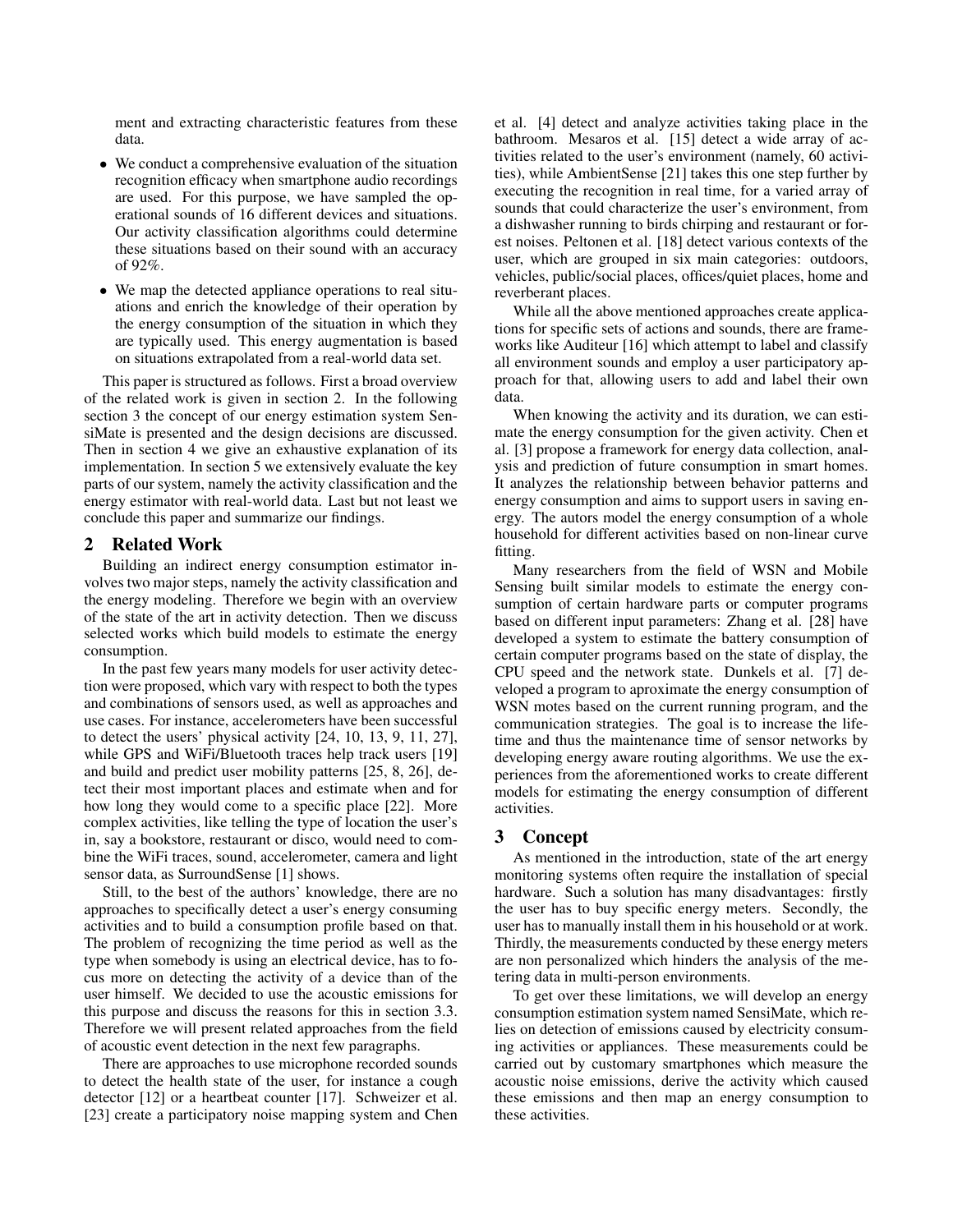ment and extracting characteristic features from these data.

- We conduct a comprehensive evaluation of the situation recognition efficacy when smartphone audio recordings are used. For this purpose, we have sampled the operational sounds of 16 different devices and situations. Our activity classification algorithms could determine these situations based on their sound with an accuracy of 92%.
- We map the detected appliance operations to real situations and enrich the knowledge of their operation by the energy consumption of the situation in which they are typically used. This energy augmentation is based on situations extrapolated from a real-world data set.

This paper is structured as follows. First a broad overview of the related work is given in section 2. In the following section 3 the concept of our energy estimation system SensiMate is presented and the design decisions are discussed. Then in section 4 we give an exhaustive explanation of its implementation. In section 5 we extensively evaluate the key parts of our system, namely the activity classification and the energy estimator with real-world data. Last but not least we conclude this paper and summarize our findings.

### 2 Related Work

Building an indirect energy consumption estimator involves two major steps, namely the activity classification and the energy modeling. Therefore we begin with an overview of the state of the art in activity detection. Then we discuss selected works which build models to estimate the energy consumption.

In the past few years many models for user activity detection were proposed, which vary with respect to both the types and combinations of sensors used, as well as approaches and use cases. For instance, accelerometers have been successful to detect the users' physical activity [24, 10, 13, 9, 11, 27], while GPS and WiFi/Bluetooth traces help track users [19] and build and predict user mobility patterns [25, 8, 26], detect their most important places and estimate when and for how long they would come to a specific place [22]. More complex activities, like telling the type of location the user's in, say a bookstore, restaurant or disco, would need to combine the WiFi traces, sound, accelerometer, camera and light sensor data, as SurroundSense [1] shows.

Still, to the best of the authors' knowledge, there are no approaches to specifically detect a user's energy consuming activities and to build a consumption profile based on that. The problem of recognizing the time period as well as the type when somebody is using an electrical device, has to focus more on detecting the activity of a device than of the user himself. We decided to use the acoustic emissions for this purpose and discuss the reasons for this in section 3.3. Therefore we will present related approaches from the field of acoustic event detection in the next few paragraphs.

There are approaches to use microphone recorded sounds to detect the health state of the user, for instance a cough detector [12] or a heartbeat counter [17]. Schweizer et al. [23] create a participatory noise mapping system and Chen

et al. [4] detect and analyze activities taking place in the bathroom. Mesaros et al. [15] detect a wide array of activities related to the user's environment (namely, 60 activities), while AmbientSense [21] takes this one step further by executing the recognition in real time, for a varied array of sounds that could characterize the user's environment, from a dishwasher running to birds chirping and restaurant or forest noises. Peltonen et al. [18] detect various contexts of the user, which are grouped in six main categories: outdoors, vehicles, public/social places, offices/quiet places, home and reverberant places.

While all the above mentioned approaches create applications for specific sets of actions and sounds, there are frameworks like Auditeur [16] which attempt to label and classify all environment sounds and employ a user participatory approach for that, allowing users to add and label their own data.

When knowing the activity and its duration, we can estimate the energy consumption for the given activity. Chen et al. [3] propose a framework for energy data collection, analysis and prediction of future consumption in smart homes. It analyzes the relationship between behavior patterns and energy consumption and aims to support users in saving energy. The autors model the energy consumption of a whole household for different activities based on non-linear curve fitting.

Many researchers from the field of WSN and Mobile Sensing built similar models to estimate the energy consumption of certain hardware parts or computer programs based on different input parameters: Zhang et al. [28] have developed a system to estimate the battery consumption of certain computer programs based on the state of display, the CPU speed and the network state. Dunkels et al. [7] developed a program to aproximate the energy consumption of WSN motes based on the current running program, and the communication strategies. The goal is to increase the lifetime and thus the maintenance time of sensor networks by developing energy aware routing algorithms. We use the experiences from the aforementioned works to create different models for estimating the energy consumption of different activities.

## 3 Concept

As mentioned in the introduction, state of the art energy monitoring systems often require the installation of special hardware. Such a solution has many disadvantages: firstly the user has to buy specific energy meters. Secondly, the user has to manually install them in his household or at work. Thirdly, the measurements conducted by these energy meters are non personalized which hinders the analysis of the metering data in multi-person environments.

To get over these limitations, we will develop an energy consumption estimation system named SensiMate, which relies on detection of emissions caused by electricity consuming activities or appliances. These measurements could be carried out by customary smartphones which measure the acoustic noise emissions, derive the activity which caused these emissions and then map an energy consumption to these activities.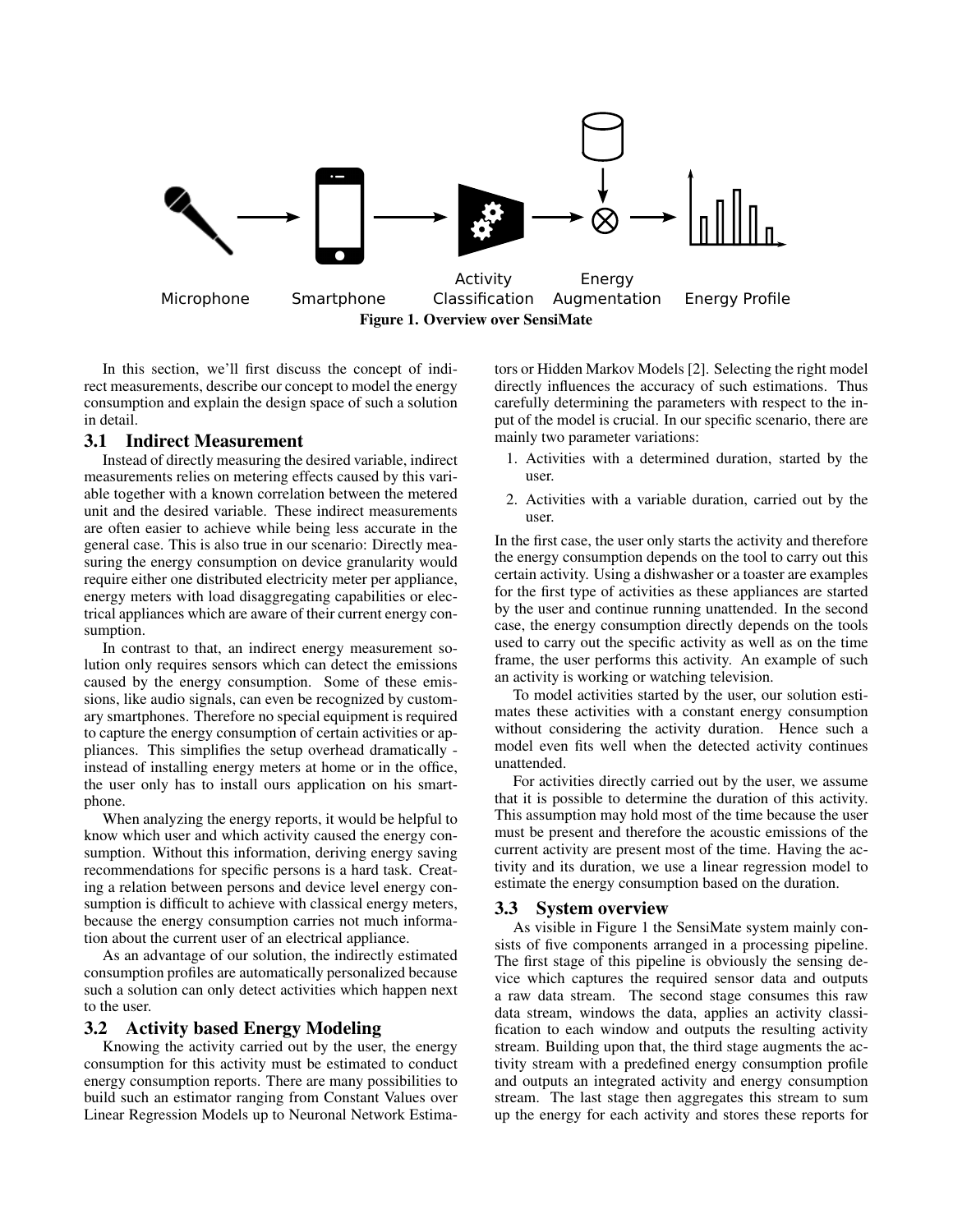

In this section, we'll first discuss the concept of indirect measurements, describe our concept to model the energy consumption and explain the design space of such a solution in detail.

### 3.1 Indirect Measurement

Instead of directly measuring the desired variable, indirect measurements relies on metering effects caused by this variable together with a known correlation between the metered unit and the desired variable. These indirect measurements are often easier to achieve while being less accurate in the general case. This is also true in our scenario: Directly measuring the energy consumption on device granularity would require either one distributed electricity meter per appliance, energy meters with load disaggregating capabilities or electrical appliances which are aware of their current energy consumption.

In contrast to that, an indirect energy measurement solution only requires sensors which can detect the emissions caused by the energy consumption. Some of these emissions, like audio signals, can even be recognized by customary smartphones. Therefore no special equipment is required to capture the energy consumption of certain activities or appliances. This simplifies the setup overhead dramatically instead of installing energy meters at home or in the office, the user only has to install ours application on his smartphone.

When analyzing the energy reports, it would be helpful to know which user and which activity caused the energy consumption. Without this information, deriving energy saving recommendations for specific persons is a hard task. Creating a relation between persons and device level energy consumption is difficult to achieve with classical energy meters, because the energy consumption carries not much information about the current user of an electrical appliance.

As an advantage of our solution, the indirectly estimated consumption profiles are automatically personalized because such a solution can only detect activities which happen next to the user.

## 3.2 Activity based Energy Modeling

Knowing the activity carried out by the user, the energy consumption for this activity must be estimated to conduct energy consumption reports. There are many possibilities to build such an estimator ranging from Constant Values over Linear Regression Models up to Neuronal Network Estimators or Hidden Markov Models [2]. Selecting the right model directly influences the accuracy of such estimations. Thus carefully determining the parameters with respect to the input of the model is crucial. In our specific scenario, there are mainly two parameter variations:

- 1. Activities with a determined duration, started by the user.
- 2. Activities with a variable duration, carried out by the user.

In the first case, the user only starts the activity and therefore the energy consumption depends on the tool to carry out this certain activity. Using a dishwasher or a toaster are examples for the first type of activities as these appliances are started by the user and continue running unattended. In the second case, the energy consumption directly depends on the tools used to carry out the specific activity as well as on the time frame, the user performs this activity. An example of such an activity is working or watching television.

To model activities started by the user, our solution estimates these activities with a constant energy consumption without considering the activity duration. Hence such a model even fits well when the detected activity continues unattended.

For activities directly carried out by the user, we assume that it is possible to determine the duration of this activity. This assumption may hold most of the time because the user must be present and therefore the acoustic emissions of the current activity are present most of the time. Having the activity and its duration, we use a linear regression model to estimate the energy consumption based on the duration.

## 3.3 System overview

As visible in Figure 1 the SensiMate system mainly consists of five components arranged in a processing pipeline. The first stage of this pipeline is obviously the sensing device which captures the required sensor data and outputs a raw data stream. The second stage consumes this raw data stream, windows the data, applies an activity classification to each window and outputs the resulting activity stream. Building upon that, the third stage augments the activity stream with a predefined energy consumption profile and outputs an integrated activity and energy consumption stream. The last stage then aggregates this stream to sum up the energy for each activity and stores these reports for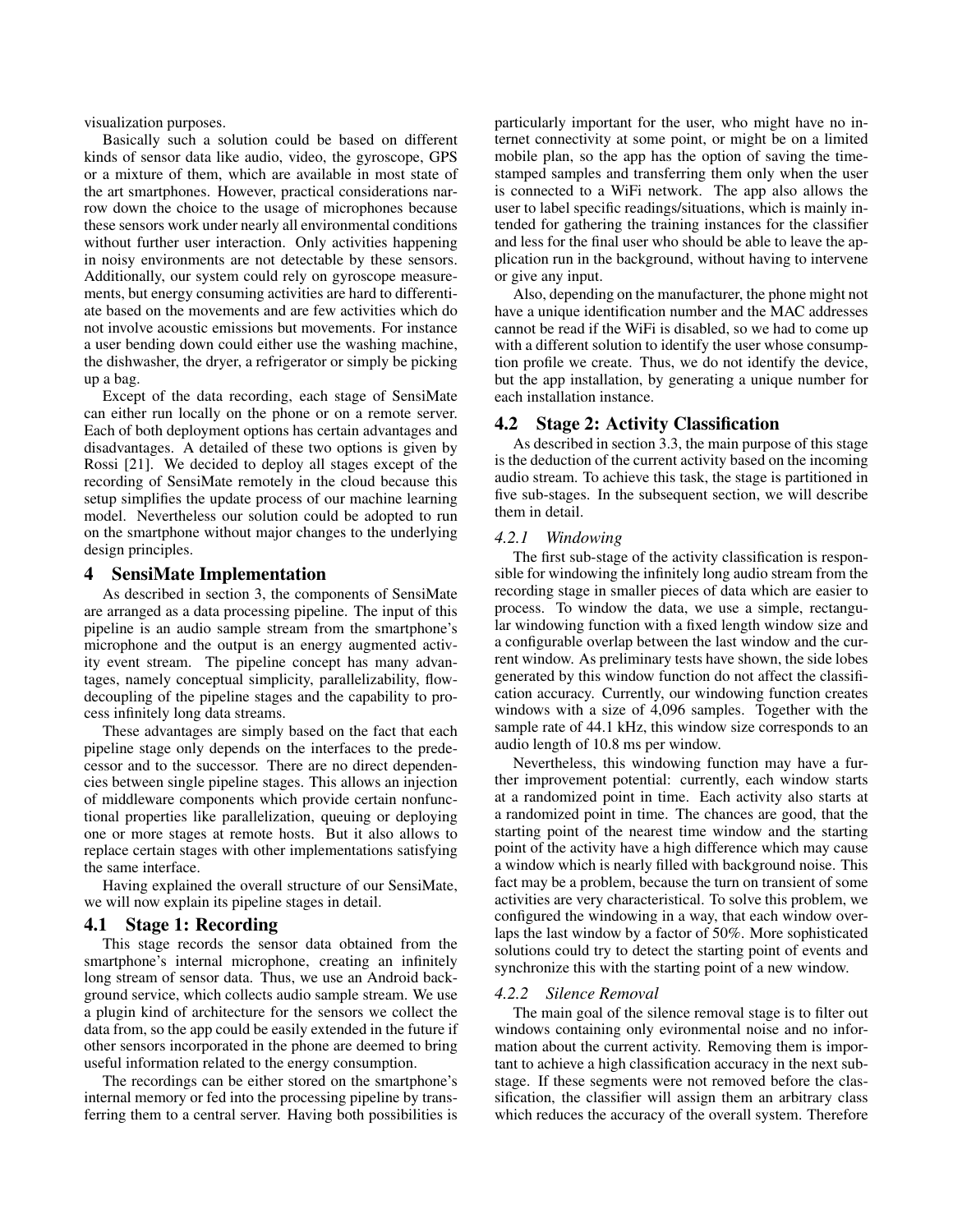visualization purposes.

Basically such a solution could be based on different kinds of sensor data like audio, video, the gyroscope, GPS or a mixture of them, which are available in most state of the art smartphones. However, practical considerations narrow down the choice to the usage of microphones because these sensors work under nearly all environmental conditions without further user interaction. Only activities happening in noisy environments are not detectable by these sensors. Additionally, our system could rely on gyroscope measurements, but energy consuming activities are hard to differentiate based on the movements and are few activities which do not involve acoustic emissions but movements. For instance a user bending down could either use the washing machine, the dishwasher, the dryer, a refrigerator or simply be picking up a bag.

Except of the data recording, each stage of SensiMate can either run locally on the phone or on a remote server. Each of both deployment options has certain advantages and disadvantages. A detailed of these two options is given by Rossi [21]. We decided to deploy all stages except of the recording of SensiMate remotely in the cloud because this setup simplifies the update process of our machine learning model. Nevertheless our solution could be adopted to run on the smartphone without major changes to the underlying design principles.

## **SensiMate Implementation**

As described in section 3, the components of SensiMate are arranged as a data processing pipeline. The input of this pipeline is an audio sample stream from the smartphone's microphone and the output is an energy augmented activity event stream. The pipeline concept has many advantages, namely conceptual simplicity, parallelizability, flowdecoupling of the pipeline stages and the capability to process infinitely long data streams.

These advantages are simply based on the fact that each pipeline stage only depends on the interfaces to the predecessor and to the successor. There are no direct dependencies between single pipeline stages. This allows an injection of middleware components which provide certain nonfunctional properties like parallelization, queuing or deploying one or more stages at remote hosts. But it also allows to replace certain stages with other implementations satisfying the same interface.

Having explained the overall structure of our SensiMate, we will now explain its pipeline stages in detail.

### 4.1 Stage 1: Recording

This stage records the sensor data obtained from the smartphone's internal microphone, creating an infinitely long stream of sensor data. Thus, we use an Android background service, which collects audio sample stream. We use a plugin kind of architecture for the sensors we collect the data from, so the app could be easily extended in the future if other sensors incorporated in the phone are deemed to bring useful information related to the energy consumption.

The recordings can be either stored on the smartphone's internal memory or fed into the processing pipeline by transferring them to a central server. Having both possibilities is

particularly important for the user, who might have no internet connectivity at some point, or might be on a limited mobile plan, so the app has the option of saving the timestamped samples and transferring them only when the user is connected to a WiFi network. The app also allows the user to label specific readings/situations, which is mainly intended for gathering the training instances for the classifier and less for the final user who should be able to leave the application run in the background, without having to intervene or give any input.

Also, depending on the manufacturer, the phone might not have a unique identification number and the MAC addresses cannot be read if the WiFi is disabled, so we had to come up with a different solution to identify the user whose consumption profile we create. Thus, we do not identify the device, but the app installation, by generating a unique number for each installation instance.

## 4.2 Stage 2: Activity Classification

As described in section 3.3, the main purpose of this stage is the deduction of the current activity based on the incoming audio stream. To achieve this task, the stage is partitioned in five sub-stages. In the subsequent section, we will describe them in detail.

### *4.2.1 Windowing*

The first sub-stage of the activity classification is responsible for windowing the infinitely long audio stream from the recording stage in smaller pieces of data which are easier to process. To window the data, we use a simple, rectangular windowing function with a fixed length window size and a configurable overlap between the last window and the current window. As preliminary tests have shown, the side lobes generated by this window function do not affect the classification accuracy. Currently, our windowing function creates windows with a size of 4,096 samples. Together with the sample rate of 44.1 kHz, this window size corresponds to an audio length of 10.8 ms per window.

Nevertheless, this windowing function may have a further improvement potential: currently, each window starts at a randomized point in time. Each activity also starts at a randomized point in time. The chances are good, that the starting point of the nearest time window and the starting point of the activity have a high difference which may cause a window which is nearly filled with background noise. This fact may be a problem, because the turn on transient of some activities are very characteristical. To solve this problem, we configured the windowing in a way, that each window overlaps the last window by a factor of 50%. More sophisticated solutions could try to detect the starting point of events and synchronize this with the starting point of a new window.

### *4.2.2 Silence Removal*

The main goal of the silence removal stage is to filter out windows containing only evironmental noise and no information about the current activity. Removing them is important to achieve a high classification accuracy in the next substage. If these segments were not removed before the classification, the classifier will assign them an arbitrary class which reduces the accuracy of the overall system. Therefore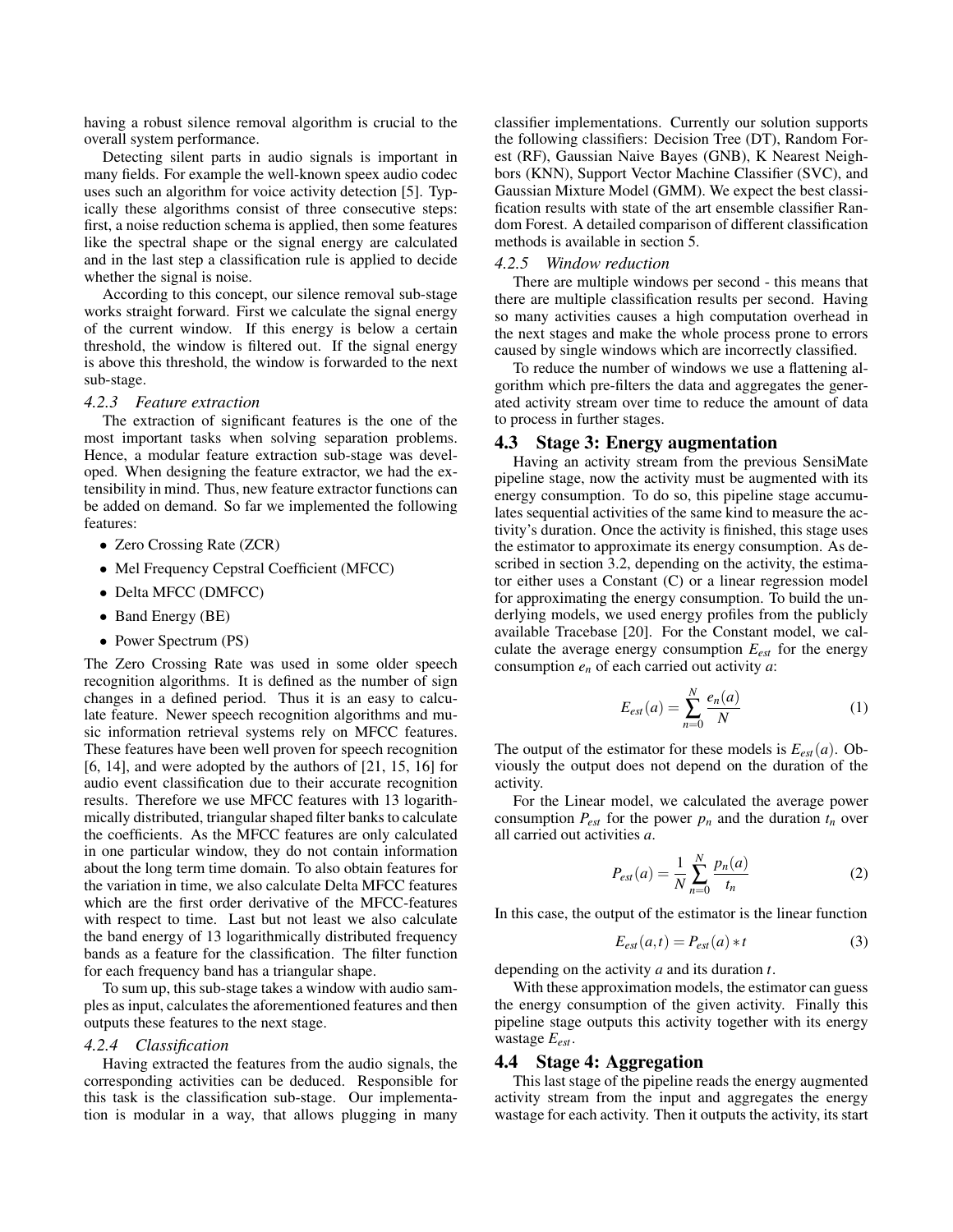having a robust silence removal algorithm is crucial to the overall system performance.

Detecting silent parts in audio signals is important in many fields. For example the well-known speex audio codec uses such an algorithm for voice activity detection [5]. Typically these algorithms consist of three consecutive steps: first, a noise reduction schema is applied, then some features like the spectral shape or the signal energy are calculated and in the last step a classification rule is applied to decide whether the signal is noise.

According to this concept, our silence removal sub-stage works straight forward. First we calculate the signal energy of the current window. If this energy is below a certain threshold, the window is filtered out. If the signal energy is above this threshold, the window is forwarded to the next sub-stage.

#### *4.2.3 Feature extraction*

The extraction of significant features is the one of the most important tasks when solving separation problems. Hence, a modular feature extraction sub-stage was developed. When designing the feature extractor, we had the extensibility in mind. Thus, new feature extractor functions can be added on demand. So far we implemented the following features:

- Zero Crossing Rate (ZCR)
- Mel Frequency Cepstral Coefficient (MFCC)
- Delta MFCC (DMFCC)
- Band Energy (BE)
- Power Spectrum (PS)

The Zero Crossing Rate was used in some older speech recognition algorithms. It is defined as the number of sign changes in a defined period. Thus it is an easy to calculate feature. Newer speech recognition algorithms and music information retrieval systems rely on MFCC features. These features have been well proven for speech recognition  $[6, 14]$ , and were adopted by the authors of  $[21, 15, 16]$  for audio event classification due to their accurate recognition results. Therefore we use MFCC features with 13 logarithmically distributed, triangular shaped filter banks to calculate the coefficients. As the MFCC features are only calculated in one particular window, they do not contain information about the long term time domain. To also obtain features for the variation in time, we also calculate Delta MFCC features which are the first order derivative of the MFCC-features with respect to time. Last but not least we also calculate the band energy of 13 logarithmically distributed frequency bands as a feature for the classification. The filter function for each frequency band has a triangular shape.

To sum up, this sub-stage takes a window with audio samples as input, calculates the aforementioned features and then outputs these features to the next stage.

## *4.2.4 Classification*

Having extracted the features from the audio signals, the corresponding activities can be deduced. Responsible for this task is the classification sub-stage. Our implementation is modular in a way, that allows plugging in many classifier implementations. Currently our solution supports the following classifiers: Decision Tree (DT), Random Forest (RF), Gaussian Naive Bayes (GNB), K Nearest Neighbors (KNN), Support Vector Machine Classifier (SVC), and Gaussian Mixture Model (GMM). We expect the best classification results with state of the art ensemble classifier Random Forest. A detailed comparison of different classification methods is available in section 5.

### *4.2.5 Window reduction*

There are multiple windows per second - this means that there are multiple classification results per second. Having so many activities causes a high computation overhead in the next stages and make the whole process prone to errors caused by single windows which are incorrectly classified.

To reduce the number of windows we use a flattening algorithm which pre-filters the data and aggregates the generated activity stream over time to reduce the amount of data to process in further stages.

## 4.3 Stage 3: Energy augmentation

Having an activity stream from the previous SensiMate pipeline stage, now the activity must be augmented with its energy consumption. To do so, this pipeline stage accumulates sequential activities of the same kind to measure the activity's duration. Once the activity is finished, this stage uses the estimator to approximate its energy consumption. As described in section 3.2, depending on the activity, the estimator either uses a Constant (C) or a linear regression model for approximating the energy consumption. To build the underlying models, we used energy profiles from the publicly available Tracebase [20]. For the Constant model, we calculate the average energy consumption *Eest* for the energy consumption *e<sup>n</sup>* of each carried out activity *a*:

$$
E_{est}(a) = \sum_{n=0}^{N} \frac{e_n(a)}{N}
$$
 (1)

The output of the estimator for these models is  $E_{est}(a)$ . Obviously the output does not depend on the duration of the activity.

For the Linear model, we calculated the average power consumption  $P_{est}$  for the power  $p_n$  and the duration  $t_n$  over all carried out activities *a*.

$$
P_{est}(a) = \frac{1}{N} \sum_{n=0}^{N} \frac{p_n(a)}{t_n}
$$
 (2)

In this case, the output of the estimator is the linear function

$$
E_{est}(a,t) = P_{est}(a) * t \tag{3}
$$

depending on the activity *a* and its duration *t*.

With these approximation models, the estimator can guess the energy consumption of the given activity. Finally this pipeline stage outputs this activity together with its energy wastage *Eest*.

## 4.4 Stage 4: Aggregation

This last stage of the pipeline reads the energy augmented activity stream from the input and aggregates the energy wastage for each activity. Then it outputs the activity, its start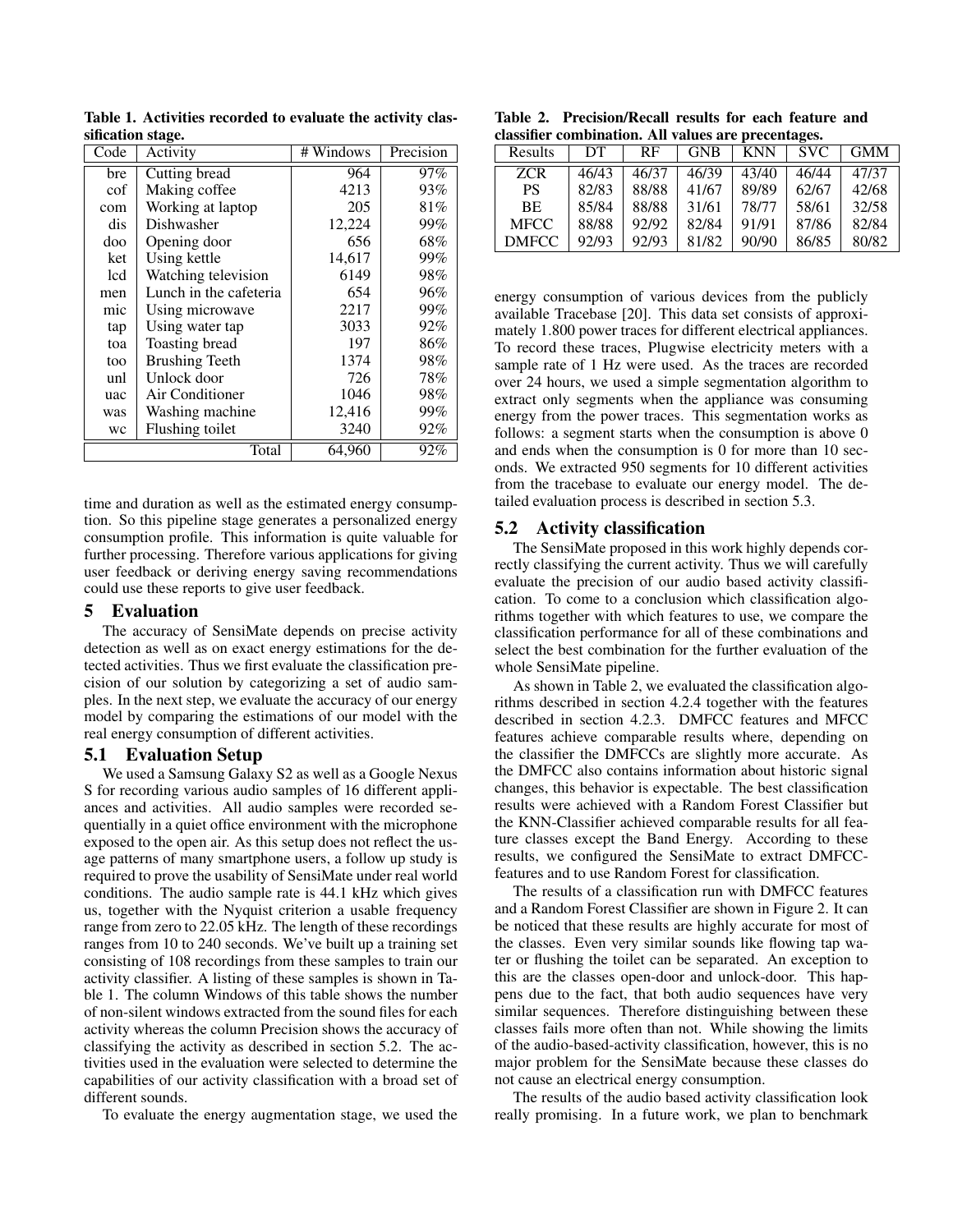Code | Activity | # Windows | Precision bre Cutting bread 964 97%<br>
cof Making coffee 4213 93% Making coffee 4213<br>Working at laptop 205 com Working at laptop  $205$  81% dis Dishwasher 12,224 99%  $\sim$  doo Opening door 656 68% ket Using kettle  $14,617$  99%  $\text{led }$  Watching television  $\vert$  6149 98% men Lunch in the cafeteria  $\begin{array}{|l|l|} 654 & 96\% \\ \hline \text{mic} & \text{Using microwave} \end{array}$  199% mic Using microwave  $\begin{array}{|l|l|} \hline \end{array}$  2217 99% and 192% 92%  $\begin{array}{|c|c|c|c|c|c|c|c|} \hline \end{array}$  tap Using water tap 3033 toa Toasting bread  $197 \mid 86\%$ too Brushing Teeth 1374 98% unl Unlock door  $726$  78% uac  $\begin{array}{|l|l|}\n\hline\nu\text{air Conditioner} & 1046 & 98\% \\
\hline\nwas & Washingtonxahine & 12.416 & 99\% \\
\hline\n\end{array}$ was Washing machine  $12,416$  99%<br>wc Flushing toilet  $3240$  92% wc Flushing toilet  $3240$  $Total | 64,960 | 92%$ 

Table 1. Activities recorded to evaluate the activity classification stage.

time and duration as well as the estimated energy consumption. So this pipeline stage generates a personalized energy consumption profile. This information is quite valuable for further processing. Therefore various applications for giving user feedback or deriving energy saving recommendations could use these reports to give user feedback.

### 5 Evaluation

The accuracy of SensiMate depends on precise activity detection as well as on exact energy estimations for the detected activities. Thus we first evaluate the classification precision of our solution by categorizing a set of audio samples. In the next step, we evaluate the accuracy of our energy model by comparing the estimations of our model with the real energy consumption of different activities.

### 5.1 Evaluation Setup

We used a Samsung Galaxy S2 as well as a Google Nexus S for recording various audio samples of 16 different appliances and activities. All audio samples were recorded sequentially in a quiet office environment with the microphone exposed to the open air. As this setup does not reflect the usage patterns of many smartphone users, a follow up study is required to prove the usability of SensiMate under real world conditions. The audio sample rate is 44.1 kHz which gives us, together with the Nyquist criterion a usable frequency range from zero to 22.05 kHz. The length of these recordings ranges from 10 to 240 seconds. We've built up a training set consisting of 108 recordings from these samples to train our activity classifier. A listing of these samples is shown in Table 1. The column Windows of this table shows the number of non-silent windows extracted from the sound files for each activity whereas the column Precision shows the accuracy of classifying the activity as described in section 5.2. The activities used in the evaluation were selected to determine the capabilities of our activity classification with a broad set of different sounds.

To evaluate the energy augmentation stage, we used the

Table 2. Precision/Recall results for each feature and classifier combination. All values are precentages.

| classifici combination. An values are precentages. |       |       |            |            |            |            |  |
|----------------------------------------------------|-------|-------|------------|------------|------------|------------|--|
| Results                                            | DТ    | RF    | <b>GNB</b> | <b>KNN</b> | <b>SVC</b> | <b>GMM</b> |  |
| <b>ZCR</b>                                         | 46/43 | 46/37 | 46/39      | 43/40      | 46/44      | 47/37      |  |
| <b>PS</b>                                          | 82/83 | 88/88 | 41/67      | 89/89      | 62/67      | 42/68      |  |
| <b>BE</b>                                          | 85/84 | 88/88 | 31/61      | 78/77      | 58/61      | 32/58      |  |
| <b>MFCC</b>                                        | 88/88 | 92/92 | 82/84      | 91/91      | 87/86      | 82/84      |  |
| <b>DMFCC</b>                                       | 92/93 | 92/93 | 81/82      | 90/90      | 86/85      | 80/82      |  |

energy consumption of various devices from the publicly available Tracebase [20]. This data set consists of approximately 1.800 power traces for different electrical appliances. To record these traces, Plugwise electricity meters with a sample rate of 1 Hz were used. As the traces are recorded over 24 hours, we used a simple segmentation algorithm to extract only segments when the appliance was consuming energy from the power traces. This segmentation works as follows: a segment starts when the consumption is above 0 and ends when the consumption is 0 for more than 10 seconds. We extracted 950 segments for 10 different activities from the tracebase to evaluate our energy model. The detailed evaluation process is described in section 5.3.

## 5.2 Activity classification

The SensiMate proposed in this work highly depends correctly classifying the current activity. Thus we will carefully evaluate the precision of our audio based activity classification. To come to a conclusion which classification algorithms together with which features to use, we compare the classification performance for all of these combinations and select the best combination for the further evaluation of the whole SensiMate pipeline.

As shown in Table 2, we evaluated the classification algorithms described in section 4.2.4 together with the features described in section 4.2.3. DMFCC features and MFCC features achieve comparable results where, depending on the classifier the DMFCCs are slightly more accurate. As the DMFCC also contains information about historic signal changes, this behavior is expectable. The best classification results were achieved with a Random Forest Classifier but the KNN-Classifier achieved comparable results for all feature classes except the Band Energy. According to these results, we configured the SensiMate to extract DMFCCfeatures and to use Random Forest for classification.

The results of a classification run with DMFCC features and a Random Forest Classifier are shown in Figure 2. It can be noticed that these results are highly accurate for most of the classes. Even very similar sounds like flowing tap water or flushing the toilet can be separated. An exception to this are the classes open-door and unlock-door. This happens due to the fact, that both audio sequences have very similar sequences. Therefore distinguishing between these classes fails more often than not. While showing the limits of the audio-based-activity classification, however, this is no major problem for the SensiMate because these classes do not cause an electrical energy consumption.

The results of the audio based activity classification look really promising. In a future work, we plan to benchmark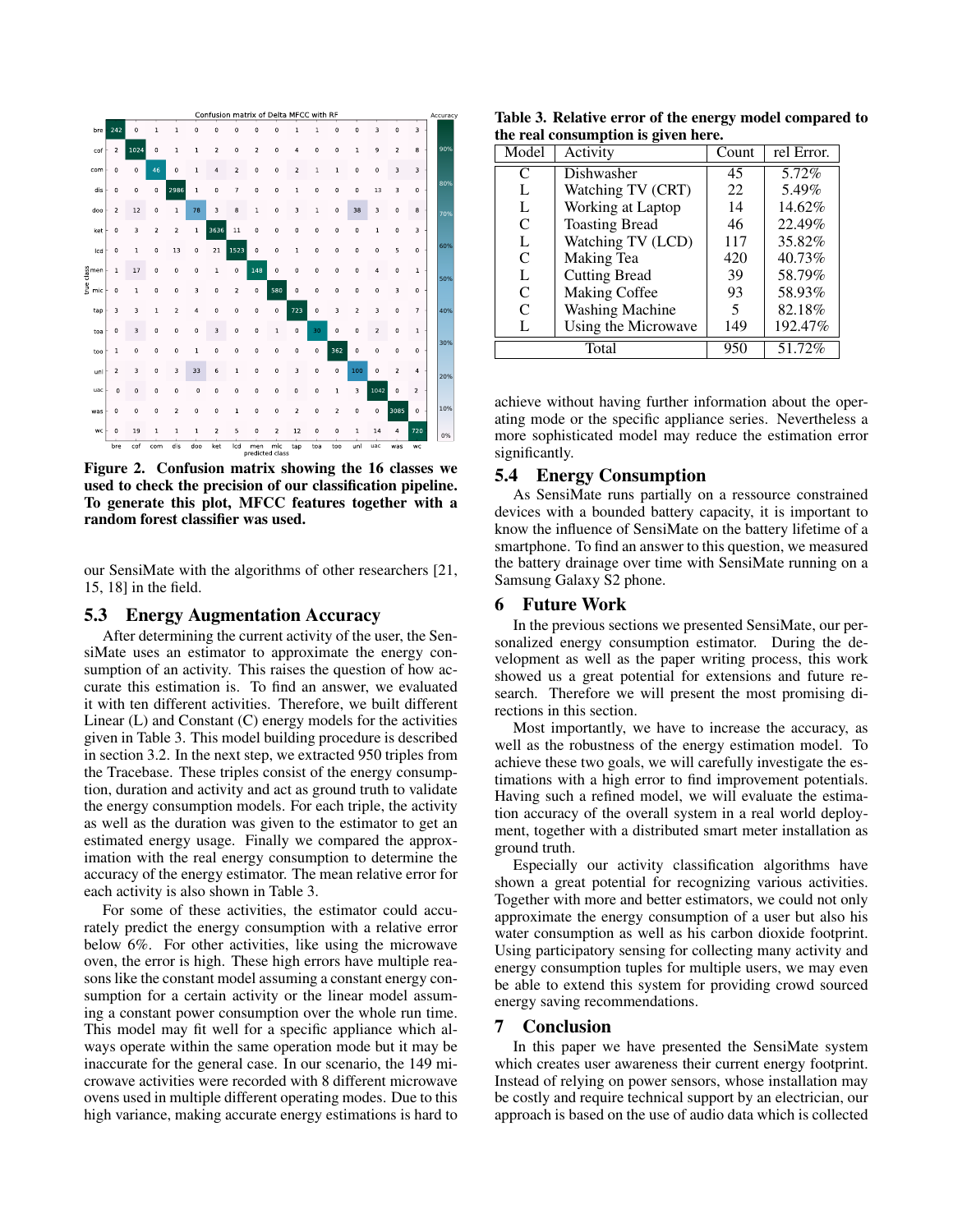

Figure 2. Confusion matrix showing the 16 classes we used to check the precision of our classification pipeline. To generate this plot, MFCC features together with a random forest classifier was used.

our SensiMate with the algorithms of other researchers [21, 15, 18] in the field.

## 5.3 Energy Augmentation Accuracy

After determining the current activity of the user, the SensiMate uses an estimator to approximate the energy consumption of an activity. This raises the question of how accurate this estimation is. To find an answer, we evaluated it with ten different activities. Therefore, we built different Linear (L) and Constant (C) energy models for the activities given in Table 3. This model building procedure is described in section 3.2. In the next step, we extracted 950 triples from the Tracebase. These triples consist of the energy consumption, duration and activity and act as ground truth to validate the energy consumption models. For each triple, the activity as well as the duration was given to the estimator to get an estimated energy usage. Finally we compared the approximation with the real energy consumption to determine the accuracy of the energy estimator. The mean relative error for each activity is also shown in Table 3.

For some of these activities, the estimator could accurately predict the energy consumption with a relative error below 6%. For other activities, like using the microwave oven, the error is high. These high errors have multiple reasons like the constant model assuming a constant energy consumption for a certain activity or the linear model assuming a constant power consumption over the whole run time. This model may fit well for a specific appliance which always operate within the same operation mode but it may be inaccurate for the general case. In our scenario, the 149 microwave activities were recorded with 8 different microwave ovens used in multiple different operating modes. Due to this high variance, making accurate energy estimations is hard to

Table 3. Relative error of the energy model compared to the real consumption is given here.

| Model          | Activity               | Count | rel Error. |
|----------------|------------------------|-------|------------|
| $\overline{C}$ | Dishwasher             | 45    | 5.72%      |
| L              | Watching TV (CRT)      | 22    | 5.49%      |
| L              | Working at Laptop      | 14    | 14.62%     |
| C              | <b>Toasting Bread</b>  | 46    | 22.49%     |
| L              | Watching TV (LCD)      | 117   | 35.82%     |
| C              | Making Tea             | 420   | 40.73%     |
| L              | <b>Cutting Bread</b>   | 39    | 58.79%     |
| C              | <b>Making Coffee</b>   | 93    | 58.93%     |
| $\mathcal{C}$  | <b>Washing Machine</b> | 5     | 82.18%     |
| L              | Using the Microwave    | 149   | 192.47%    |
|                | Total                  | 950   | 51.72%     |

achieve without having further information about the operating mode or the specific appliance series. Nevertheless a more sophisticated model may reduce the estimation error significantly.

## 5.4 Energy Consumption

As SensiMate runs partially on a ressource constrained devices with a bounded battery capacity, it is important to know the influence of SensiMate on the battery lifetime of a smartphone. To find an answer to this question, we measured the battery drainage over time with SensiMate running on a Samsung Galaxy S2 phone.

## 6 Future Work

In the previous sections we presented SensiMate, our personalized energy consumption estimator. During the development as well as the paper writing process, this work showed us a great potential for extensions and future research. Therefore we will present the most promising directions in this section.

Most importantly, we have to increase the accuracy, as well as the robustness of the energy estimation model. To achieve these two goals, we will carefully investigate the estimations with a high error to find improvement potentials. Having such a refined model, we will evaluate the estimation accuracy of the overall system in a real world deployment, together with a distributed smart meter installation as ground truth.

Especially our activity classification algorithms have shown a great potential for recognizing various activities. Together with more and better estimators, we could not only approximate the energy consumption of a user but also his water consumption as well as his carbon dioxide footprint. Using participatory sensing for collecting many activity and energy consumption tuples for multiple users, we may even be able to extend this system for providing crowd sourced energy saving recommendations.

## 7 Conclusion

In this paper we have presented the SensiMate system which creates user awareness their current energy footprint. Instead of relying on power sensors, whose installation may be costly and require technical support by an electrician, our approach is based on the use of audio data which is collected